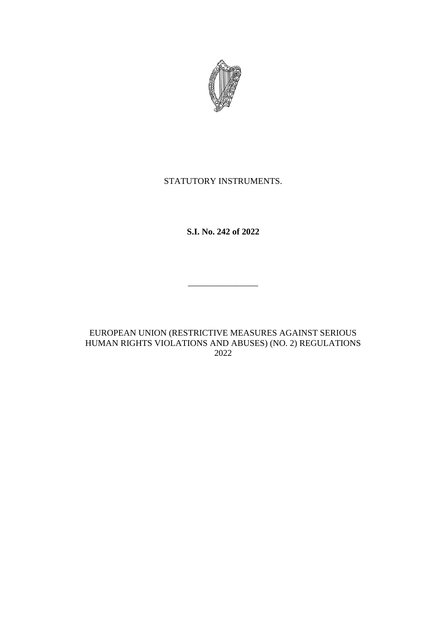

# STATUTORY INSTRUMENTS.

**S.I. No. 242 of 2022**

\_\_\_\_\_\_\_\_\_\_\_\_\_\_\_\_

EUROPEAN UNION (RESTRICTIVE MEASURES AGAINST SERIOUS HUMAN RIGHTS VIOLATIONS AND ABUSES) (NO. 2) REGULATIONS 2022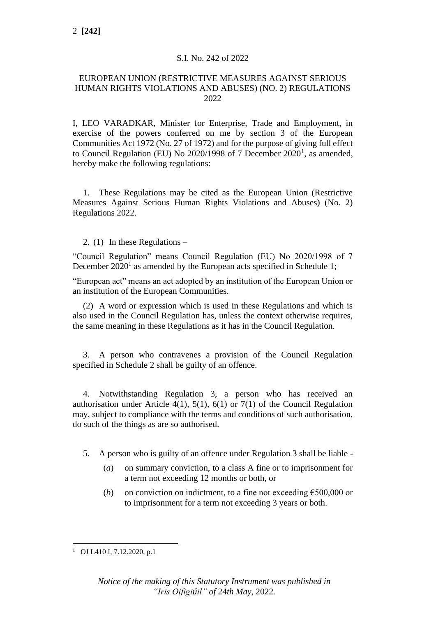#### S.I. No. 242 of 2022

#### EUROPEAN UNION (RESTRICTIVE MEASURES AGAINST SERIOUS HUMAN RIGHTS VIOLATIONS AND ABUSES) (NO. 2) REGULATIONS 2022

I, LEO VARADKAR, Minister for Enterprise, Trade and Employment, in exercise of the powers conferred on me by section 3 of the European Communities Act 1972 (No. 27 of 1972) and for the purpose of giving full effect to Council Regulation (EU) No 2020/1998 of 7 December  $2020<sup>1</sup>$ , as amended, hereby make the following regulations:

1. These Regulations may be cited as the European Union (Restrictive Measures Against Serious Human Rights Violations and Abuses) (No. 2) Regulations 2022.

2. (1) In these Regulations –

"Council Regulation" means Council Regulation (EU) No 2020/1998 of 7 December  $2020<sup>1</sup>$  as amended by the European acts specified in Schedule 1;

"European act" means an act adopted by an institution of the European Union or an institution of the European Communities.

(2) A word or expression which is used in these Regulations and which is also used in the Council Regulation has, unless the context otherwise requires, the same meaning in these Regulations as it has in the Council Regulation.

3. A person who contravenes a provision of the Council Regulation specified in Schedule 2 shall be guilty of an offence.

4. Notwithstanding Regulation 3, a person who has received an authorisation under Article  $4(1)$ ,  $5(1)$ ,  $6(1)$  or  $7(1)$  of the Council Regulation may, subject to compliance with the terms and conditions of such authorisation, do such of the things as are so authorised.

- 5. A person who is guilty of an offence under Regulation 3 shall be liable
	- (*a*) on summary conviction, to a class A fine or to imprisonment for a term not exceeding 12 months or both, or
	- (*b*) on conviction on indictment, to a fine not exceeding  $\epsilon$ 500,000 or to imprisonment for a term not exceeding 3 years or both.

<sup>1</sup> OJ L410 I, 7.12.2020, p.1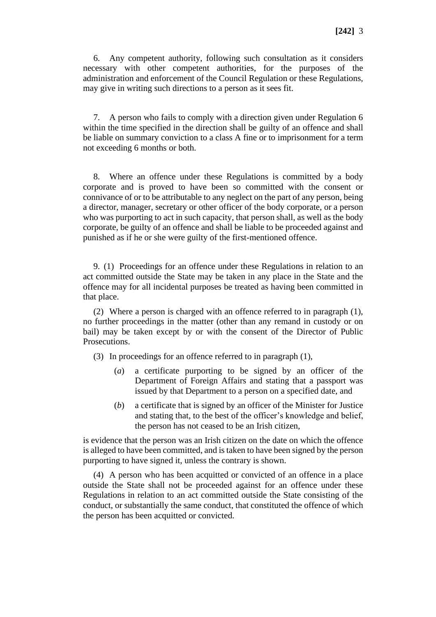6. Any competent authority, following such consultation as it considers necessary with other competent authorities, for the purposes of the administration and enforcement of the Council Regulation or these Regulations, may give in writing such directions to a person as it sees fit.

7. A person who fails to comply with a direction given under Regulation 6 within the time specified in the direction shall be guilty of an offence and shall be liable on summary conviction to a class A fine or to imprisonment for a term not exceeding 6 months or both.

8. Where an offence under these Regulations is committed by a body corporate and is proved to have been so committed with the consent or connivance of or to be attributable to any neglect on the part of any person, being a director, manager, secretary or other officer of the body corporate, or a person who was purporting to act in such capacity, that person shall, as well as the body corporate, be guilty of an offence and shall be liable to be proceeded against and punished as if he or she were guilty of the first-mentioned offence.

9. (1) Proceedings for an offence under these Regulations in relation to an act committed outside the State may be taken in any place in the State and the offence may for all incidental purposes be treated as having been committed in that place.

(2) Where a person is charged with an offence referred to in paragraph (1), no further proceedings in the matter (other than any remand in custody or on bail) may be taken except by or with the consent of the Director of Public Prosecutions.

(3) In proceedings for an offence referred to in paragraph (1),

- (*a*) a certificate purporting to be signed by an officer of the Department of Foreign Affairs and stating that a passport was issued by that Department to a person on a specified date, and
- (*b*) a certificate that is signed by an officer of the Minister for Justice and stating that, to the best of the officer's knowledge and belief, the person has not ceased to be an Irish citizen,

is evidence that the person was an Irish citizen on the date on which the offence is alleged to have been committed, and is taken to have been signed by the person purporting to have signed it, unless the contrary is shown.

(4) A person who has been acquitted or convicted of an offence in a place outside the State shall not be proceeded against for an offence under these Regulations in relation to an act committed outside the State consisting of the conduct, or substantially the same conduct, that constituted the offence of which the person has been acquitted or convicted.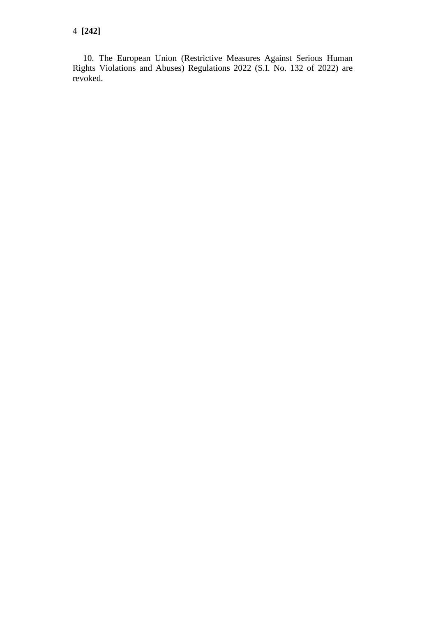4 **[242]**

10. The European Union (Restrictive Measures Against Serious Human Rights Violations and Abuses) Regulations 2022 (S.I. No. 132 of 2022) are revoked.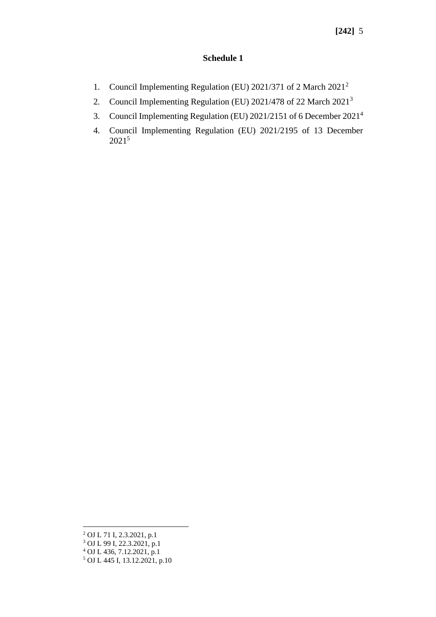#### **Schedule 1**

- 1. Council Implementing Regulation (EU) 2021/371 of 2 March 2021<sup>2</sup>
- 2. Council Implementing Regulation (EU) 2021/478 of 22 March 2021<sup>3</sup>
- 3. Council Implementing Regulation (EU) 2021/2151 of 6 December 2021<sup>4</sup>
- 4. Council Implementing Regulation (EU) 2021/2195 of 13 December 2021<sup>5</sup>

<sup>2</sup> OJ L 71 I, 2.3.2021, p.1

<sup>3</sup> OJ L 99 I, 22.3.2021, p.1

<sup>4</sup> OJ L 436, 7.12.2021, p.1

<sup>5</sup> OJ L 445 I, 13.12.2021, p.10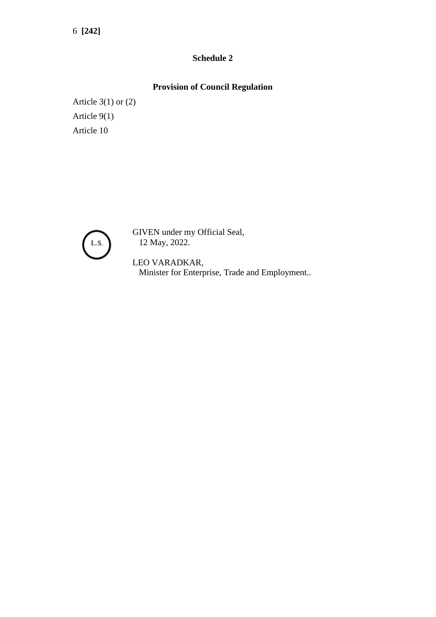6 **[242]**

### **Schedule 2**

## **Provision of Council Regulation**

Article 3(1) or (2) Article 9(1) Article 10



GIVEN under my Official Seal, 12 May, 2022.

LEO VARADKAR, Minister for Enterprise, Trade and Employment..